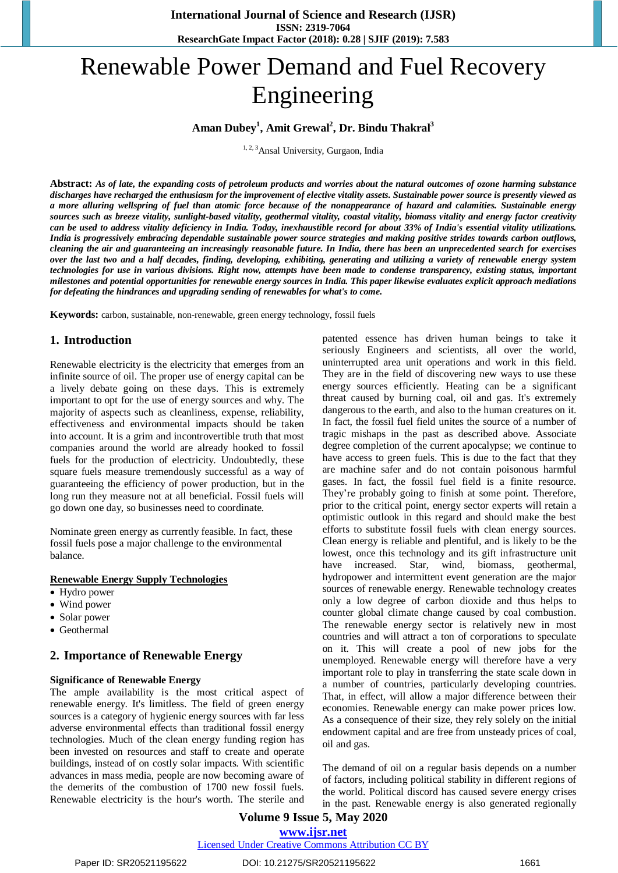# Renewable Power Demand and Fuel Recovery Engineering

# **Aman Dubey<sup>1</sup> , Amit Grewal<sup>2</sup> , Dr. Bindu Thakral<sup>3</sup>**

<sup>1, 2, 3</sup>Ansal University, Gurgaon, India

Abstract: As of late, the expanding costs of petroleum products and worries about the natural outcomes of ozone harming substance discharges have recharged the enthusiasm for the improvement of elective vitality assets. Sustainable power source is presently viewed as a more alluring wellspring of fuel than atomic force because of the nonappearance of hazard and calamities. Sustainable energy sources such as breeze vitality, sunlight-based vitality, geothermal vitality, coastal vitality, biomass vitality and energy factor creativity can be used to address vitality deficiency in India. Today, inexhaustible record for about 33% of India's essential vitality utilizations. India is progressively embracing dependable sustainable power source strategies and making positive strides towards carbon outflows, cleaning the air and guaranteeing an increasingly reasonable future. In India, there has been an unprecedented search for exercises over the last two and a half decades, finding, developing, exhibiting, generating and utilizing a variety of renewable energy system technologies for use in various divisions. Right now, attempts have been made to condense transparency, existing status, important milestones and potential opportunities for renewable energy sources in India. This paper likewise evaluates explicit approach mediations *for defeating the hindrances and upgrading sending of renewables for what's to come.*

**Keywords:** carbon, sustainable, non-renewable, green energy technology, fossil fuels

## **1. Introduction**

Renewable electricity is the electricity that emerges from an infinite source of oil. The proper use of energy capital can be a lively debate going on these days. This is extremely important to opt for the use of energy sources and why. The majority of aspects such as cleanliness, expense, reliability, effectiveness and environmental impacts should be taken into account. It is a grim and incontrovertible truth that most companies around the world are already hooked to fossil fuels for the production of electricity. Undoubtedly, these square fuels measure tremendously successful as a way of guaranteeing the efficiency of power production, but in the long run they measure not at all beneficial. Fossil fuels will go down one day, so businesses need to coordinate.

Nominate green energy as currently feasible. In fact, these fossil fuels pose a major challenge to the environmental balance.

#### **Renewable Energy Supply Technologies**

- Hydro power
- Wind power
- Solar power
- Geothermal

## **2. Importance of Renewable Energy**

#### **Significance of Renewable Energy**

The ample availability is the most critical aspect of renewable energy. It's limitless. The field of green energy sources is a category of hygienic energy sources with far less adverse environmental effects than traditional fossil energy technologies. Much of the clean energy funding region has been invested on resources and staff to create and operate buildings, instead of on costly solar impacts. With scientific advances in mass media, people are now becoming aware of the demerits of the combustion of 1700 new fossil fuels. Renewable electricity is the hour's worth. The sterile and patented essence has driven human beings to take it seriously Engineers and scientists, all over the world, uninterrupted area unit operations and work in this field. They are in the field of discovering new ways to use these energy sources efficiently. Heating can be a significant threat caused by burning coal, oil and gas. It's extremely dangerous to the earth, and also to the human creatures on it. In fact, the fossil fuel field unites the source of a number of tragic mishaps in the past as described above. Associate degree completion of the current apocalypse; we continue to have access to green fuels. This is due to the fact that they are machine safer and do not contain poisonous harmful gases. In fact, the fossil fuel field is a finite resource. They're probably going to finish at some point. Therefore, prior to the critical point, energy sector experts will retain a optimistic outlook in this regard and should make the best efforts to substitute fossil fuels with clean energy sources. Clean energy is reliable and plentiful, and is likely to be the lowest, once this technology and its gift infrastructure unit have increased. Star, wind, biomass, geothermal, hydropower and intermittent event generation are the major sources of renewable energy. Renewable technology creates only a low degree of carbon dioxide and thus helps to counter global climate change caused by coal combustion. The renewable energy sector is relatively new in most countries and will attract a ton of corporations to speculate on it. This will create a pool of new jobs for the unemployed. Renewable energy will therefore have a very important role to play in transferring the state scale down in a number of countries, particularly developing countries. That, in effect, will allow a major difference between their economies. Renewable energy can make power prices low. As a consequence of their size, they rely solely on the initial endowment capital and are free from unsteady prices of coal, oil and gas.

The demand of oil on a regular basis depends on a number of factors, including political stability in different regions of the world. Political discord has caused severe energy crises in the past. Renewable energy is also generated regionally

# **Volume 9 Issue 5, May 2020 www.ijsr.net**

Licensed Under Creative Commons Attribution CC BY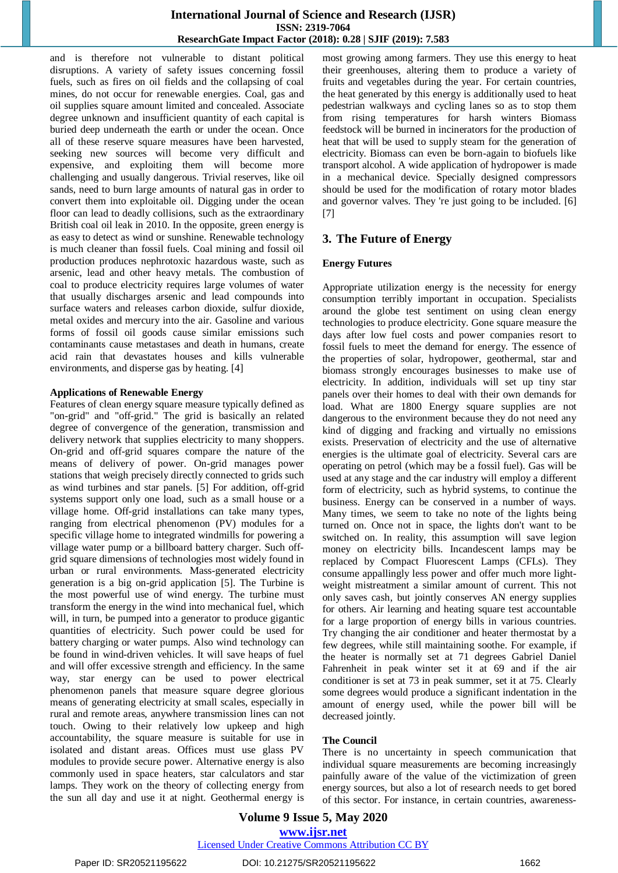## **International Journal of Science and Research (IJSR) ISSN: 2319-7064 ResearchGate Impact Factor (2018): 0.28 | SJIF (2019): 7.583**

and is therefore not vulnerable to distant political disruptions. A variety of safety issues concerning fossil fuels, such as fires on oil fields and the collapsing of coal mines, do not occur for renewable energies. Coal, gas and oil supplies square amount limited and concealed. Associate degree unknown and insufficient quantity of each capital is buried deep underneath the earth or under the ocean. Once all of these reserve square measures have been harvested, seeking new sources will become very difficult and expensive, and exploiting them will become more challenging and usually dangerous. Trivial reserves, like oil sands, need to burn large amounts of natural gas in order to convert them into exploitable oil. Digging under the ocean floor can lead to deadly collisions, such as the extraordinary British coal oil leak in 2010. In the opposite, green energy is as easy to detect as wind or sunshine. Renewable technology is much cleaner than fossil fuels. Coal mining and fossil oil production produces nephrotoxic hazardous waste, such as arsenic, lead and other heavy metals. The combustion of coal to produce electricity requires large volumes of water that usually discharges arsenic and lead compounds into surface waters and releases carbon dioxide, sulfur dioxide, metal oxides and mercury into the air. Gasoline and various forms of fossil oil goods cause similar emissions such contaminants cause metastases and death in humans, create acid rain that devastates houses and kills vulnerable environments, and disperse gas by heating. [4]

#### **Applications of Renewable Energy**

Features of clean energy square measure typically defined as "on-grid" and "off-grid." The grid is basically an related degree of convergence of the generation, transmission and delivery network that supplies electricity to many shoppers. On-grid and off-grid squares compare the nature of the means of delivery of power. On-grid manages power stations that weigh precisely directly connected to grids such as wind turbines and star panels. [5] For addition, off-grid systems support only one load, such as a small house or a village home. Off-grid installations can take many types, ranging from electrical phenomenon (PV) modules for a specific village home to integrated windmills for powering a village water pump or a billboard battery charger. Such offgrid square dimensions of technologies most widely found in urban or rural environments. Mass-generated electricity generation is a big on-grid application [5]. The Turbine is the most powerful use of wind energy. The turbine must transform the energy in the wind into mechanical fuel, which will, in turn, be pumped into a generator to produce gigantic quantities of electricity. Such power could be used for battery charging or water pumps. Also wind technology can be found in wind-driven vehicles. It will save heaps of fuel and will offer excessive strength and efficiency. In the same way, star energy can be used to power electrical phenomenon panels that measure square degree glorious means of generating electricity at small scales, especially in rural and remote areas, anywhere transmission lines can not touch. Owing to their relatively low upkeep and high accountability, the square measure is suitable for use in isolated and distant areas. Offices must use glass PV modules to provide secure power. Alternative energy is also commonly used in space heaters, star calculators and star lamps. They work on the theory of collecting energy from the sun all day and use it at night. Geothermal energy is most growing among farmers. They use this energy to heat their greenhouses, altering them to produce a variety of fruits and vegetables during the year. For certain countries, the heat generated by this energy is additionally used to heat pedestrian walkways and cycling lanes so as to stop them from rising temperatures for harsh winters Biomass feedstock will be burned in incinerators for the production of heat that will be used to supply steam for the generation of electricity. Biomass can even be born-again to biofuels like transport alcohol. A wide application of hydropower is made in a mechanical device. Specially designed compressors should be used for the modification of rotary motor blades and governor valves. They 're just going to be included. [6] [7]

## **3. The Future of Energy**

#### **Energy Futures**

Appropriate utilization energy is the necessity for energy consumption terribly important in occupation. Specialists around the globe test sentiment on using clean energy technologies to produce electricity. Gone square measure the days after low fuel costs and power companies resort to fossil fuels to meet the demand for energy. The essence of the properties of solar, hydropower, geothermal, star and biomass strongly encourages businesses to make use of electricity. In addition, individuals will set up tiny star panels over their homes to deal with their own demands for load. What are 1800 Energy square supplies are not dangerous to the environment because they do not need any kind of digging and fracking and virtually no emissions exists. Preservation of electricity and the use of alternative energies is the ultimate goal of electricity. Several cars are operating on petrol (which may be a fossil fuel). Gas will be used at any stage and the car industry will employ a different form of electricity, such as hybrid systems, to continue the business. Energy can be conserved in a number of ways. Many times, we seem to take no note of the lights being turned on. Once not in space, the lights don't want to be switched on. In reality, this assumption will save legion money on electricity bills. Incandescent lamps may be replaced by Compact Fluorescent Lamps (CFLs). They consume appallingly less power and offer much more lightweight mistreatment a similar amount of current. This not only saves cash, but jointly conserves AN energy supplies for others. Air learning and heating square test accountable for a large proportion of energy bills in various countries. Try changing the air conditioner and heater thermostat by a few degrees, while still maintaining soothe. For example, if the heater is normally set at 71 degrees Gabriel Daniel Fahrenheit in peak winter set it at 69 and if the air conditioner is set at 73 in peak summer, set it at 75. Clearly some degrees would produce a significant indentation in the amount of energy used, while the power bill will be decreased jointly.

## **The Council**

There is no uncertainty in speech communication that individual square measurements are becoming increasingly painfully aware of the value of the victimization of green energy sources, but also a lot of research needs to get bored of this sector. For instance, in certain countries, awareness-

# **Volume 9 Issue 5, May 2020 www.ijsr.net**

## Licensed Under Creative Commons Attribution CC BY